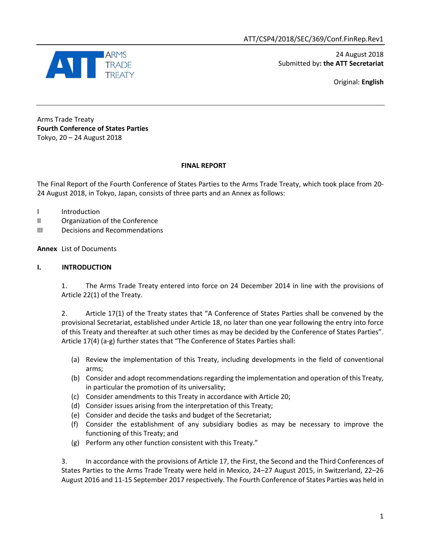

 24 August 2018 Submitted by**: the ATT Secretariat**

Original: **English**

Arms Trade Treaty **Fourth Conference of States Parties** Tokyo, 20 – 24 August 2018

### **FINAL REPORT**

The Final Report of the Fourth Conference of States Parties to the Arms Trade Treaty, which took place from 20- 24 August 2018, in Tokyo, Japan, consists of three parts and an Annex as follows:

- I Introduction
- II Organization of the Conference
- III Decisions and Recommendations

### **Annex** List of Documents

### **I. INTRODUCTION**

1. The Arms Trade Treaty entered into force on 24 December 2014 in line with the provisions of Article 22(1) of the Treaty.

2. Article 17(1) of the Treaty states that "A Conference of States Parties shall be convened by the provisional Secretariat, established under Article 18, no later than one year following the entry into force of this Treaty and thereafter at such other times as may be decided by the Conference of States Parties". Article 17(4) (a-g) further states that "The Conference of States Parties shall:

- (a) Review the implementation of this Treaty, including developments in the field of conventional arms;
- (b) Consider and adopt recommendations regarding the implementation and operation of this Treaty, in particular the promotion of its universality;
- (c) Consider amendments to this Treaty in accordance with Article 20;
- (d) Consider issues arising from the interpretation of this Treaty;
- (e) Consider and decide the tasks and budget of the Secretariat;
- (f) Consider the establishment of any subsidiary bodies as may be necessary to improve the functioning of this Treaty; and
- (g) Perform any other function consistent with this Treaty."

3. In accordance with the provisions of Article 17, the First, the Second and the Third Conferences of States Parties to the Arms Trade Treaty were held in Mexico, 24–27 August 2015, in Switzerland, 22–26 August 2016 and 11-15 September 2017 respectively. The Fourth Conference of States Parties was held in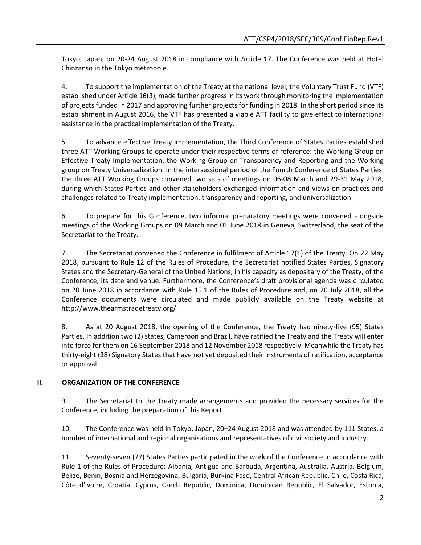Tokyo, Japan, on 20-24 August 2018 in compliance with Article 17. The Conference was held at Hotel Chinzanso in the Tokyo metropole.

4. To support the implementation of the Treaty at the national level, the Voluntary Trust Fund (VTF) established under Article 16(3), made further progress in its work through monitoring the implementation of projects funded in 2017 and approving further projects for funding in 2018. In the short period since its establishment in August 2016, the VTF has presented a viable ATT facility to give effect to international assistance in the practical implementation of the Treaty.

5. To advance effective Treaty implementation, the Third Conference of States Parties established three ATT Working Groups to operate under their respective terms of reference: the Working Group on Effective Treaty Implementation, the Working Group on Transparency and Reporting and the Working group on Treaty Universalization. In the intersessional period of the Fourth Conference of States Parties, the three ATT Working Groups convened two sets of meetings on 06-08 March and 29-31 May 2018, during which States Parties and other stakeholders exchanged information and views on practices and challenges related to Treaty implementation, transparency and reporting, and universalization.

6. To prepare for this Conference, two informal preparatory meetings were convened alongside meetings of the Working Groups on 09 March and 01 June 2018 in Geneva, Switzerland, the seat of the Secretariat to the Treaty.

7. The Secretariat convened the Conference in fulfilment of Article 17(1) of the Treaty. On 22 May 2018, pursuant to Rule 12 of the Rules of Procedure, the Secretariat notified States Parties, Signatory States and the Secretary-General of the United Nations, in his capacity as depositary of the Treaty, of the Conference, its date and venue. Furthermore, the Conference's draft provisional agenda was circulated on 20 June 2018 in accordance with Rule 15.1 of the Rules of Procedure and, on 20 July 2018, all the Conference documents were circulated and made publicly available on the Treaty website at [http://www.thearmstradetreaty.org/.](http://www.thearmstradetreaty.org/)

8. As at 20 August 2018, the opening of the Conference, the Treaty had ninety-five (95) States Parties. In addition two (2) states, Cameroon and Brazil, have ratified the Treaty and the Treaty will enter into force for them on 16 September 2018 and 12 November 2018 respectively. Meanwhile the Treaty has thirty-eight (38) Signatory States that have not yet deposited their instruments of ratification, acceptance or approval.

### **II. ORGANIZATION OF THE CONFERENCE**

9. The Secretariat to the Treaty made arrangements and provided the necessary services for the Conference, including the preparation of this Report.

10. The Conference was held in Tokyo, Japan, 20–24 August 2018 and was attended by 111 States, a number of international and regional organisations and representatives of civil society and industry.

11. Seventy-seven (77) States Parties participated in the work of the Conference in accordance with Rule 1 of the Rules of Procedure: Albania, Antigua and Barbuda, Argentina, Australia, Austria, Belgium, Belize, Benin, Bosnia and Herzegovina, Bulgaria, Burkina Faso, Central African Republic, Chile, Costa Rica, Côte d'Ivoire, Croatia, Cyprus, Czech Republic, Dominica, Dominican Republic, El Salvador, Estonia,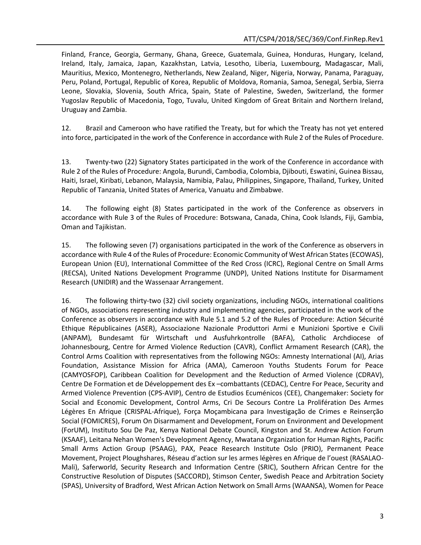Finland, France, Georgia, Germany, Ghana, Greece, Guatemala, Guinea, Honduras, Hungary, Iceland, Ireland, Italy, Jamaica, Japan, Kazakhstan, Latvia, Lesotho, Liberia, Luxembourg, Madagascar, Mali, Mauritius, Mexico, Montenegro, Netherlands, New Zealand, Niger, Nigeria, Norway, Panama, Paraguay, Peru, Poland, Portugal, Republic of Korea, Republic of Moldova, Romania, Samoa, Senegal, Serbia, Sierra Leone, Slovakia, Slovenia, South Africa, Spain, State of Palestine, Sweden, Switzerland, the former Yugoslav Republic of Macedonia, Togo, Tuvalu, United Kingdom of Great Britain and Northern Ireland, Uruguay and Zambia.

12. Brazil and Cameroon who have ratified the Treaty, but for which the Treaty has not yet entered into force, participated in the work of the Conference in accordance with Rule 2 of the Rules of Procedure.

13. Twenty-two (22) Signatory States participated in the work of the Conference in accordance with Rule 2 of the Rules of Procedure: Angola, Burundi, Cambodia, Colombia, Djibouti, Eswatini, Guinea Bissau, Haiti, Israel, Kiribati, Lebanon, Malaysia, Namibia, Palau, Philippines, Singapore, Thailand, Turkey, United Republic of Tanzania, United States of America, Vanuatu and Zimbabwe.

14. The following eight (8) States participated in the work of the Conference as observers in accordance with Rule 3 of the Rules of Procedure: Botswana, Canada, China, Cook Islands, Fiji, Gambia, Oman and Tajikistan.

15. The following seven (7) organisations participated in the work of the Conference as observers in accordance with Rule 4 of the Rules of Procedure: Economic Community of West African States (ECOWAS), European Union (EU), International Committee of the Red Cross (ICRC), Regional Centre on Small Arms (RECSA), United Nations Development Programme (UNDP), United Nations Institute for Disarmament Research (UNIDIR) and the Wassenaar Arrangement.

16. The following thirty-two (32) civil society organizations, including NGOs, international coalitions of NGOs, associations representing industry and implementing agencies, participated in the work of the Conference as observers in accordance with Rule 5.1 and 5.2 of the Rules of Procedure: Action Sécurité Ethique Républicaines (ASER), Associazione Nazionale Produttori Armi e Munizioni Sportive e Civili (ANPAM), Bundesamt für Wirtschaft und Ausfuhrkontrolle (BAFA), Catholic Archdiocese of Johannesbourg, Centre for Armed Violence Reduction (CAVR), Conflict Armament Research (CAR), the Control Arms Coalition with representatives from the following NGOs: Amnesty International (AI), Arias Foundation, Assistance Mission for Africa (AMA), Cameroon Youths Students Forum for Peace (CAMYOSFOP), Caribbean Coalition for Development and the Reduction of Armed Violence (CDRAV), Centre De Formation et de Développement des Ex –combattants (CEDAC), Centre For Peace, Security and Armed Violence Prevention (CPS-AVIP), Centro de Estudios Ecuménicos (CEE), Changemaker: Society for Social and Economic Development, Control Arms, Cri De Secours Contre La Prolifération Des Armes Légères En Afrique (CRISPAL-Afrique), Força Moçambicana para Investigação de Crimes e Reinserção Social (FOMICRES), Forum On Disarmament and Development, Forum on Environment and Development (ForUM), Instituto Sou De Paz, Kenya National Debate Council, Kingston and St. Andrew Action Forum (KSAAF), Leitana Nehan Women's Development Agency, Mwatana Organization for Human Rights, Pacific Small Arms Action Group (PSAAG), PAX, Peace Research Institute Oslo (PRIO), Permanent Peace Movement, Project Ploughshares, Réseau d'action sur les armes légères en Afrique de l'ouest (RASALAO-Mali), Saferworld, Security Research and Information Centre (SRIC), Southern African Centre for the Constructive Resolution of Disputes (SACCORD), Stimson Center, Swedish Peace and Arbitration Society (SPAS), University of Bradford, West African Action Network on Small Arms (WAANSA), Women for Peace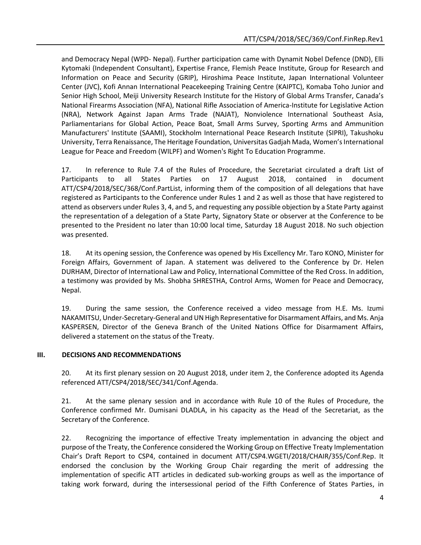and Democracy Nepal (WPD- Nepal). Further participation came with Dynamit Nobel Defence (DND), Elli Kytomaki (Independent Consultant), Expertise France, Flemish Peace Institute, Group for Research and Information on Peace and Security (GRIP), Hiroshima Peace Institute, Japan International Volunteer Center (JVC), Kofi Annan International Peacekeeping Training Centre (KAIPTC), Komaba Toho Junior and Senior High School, Meiji University Research Institute for the History of Global Arms Transfer, Canada's National Firearms Association (NFA), National Rifle Association of America-Institute for Legislative Action (NRA), Network Against Japan Arms Trade (NAJAT), Nonviolence International Southeast Asia, Parliamentarians for Global Action, Peace Boat, Small Arms Survey, Sporting Arms and Ammunition Manufacturers' Institute (SAAMI), Stockholm International Peace Research Institute (SIPRI), Takushoku University, Terra Renaissance, The Heritage Foundation, Universitas Gadjah Mada, Women's International League for Peace and Freedom (WILPF) and Women's Right To Education Programme.

17. In reference to Rule 7.4 of the Rules of Procedure, the Secretariat circulated a draft List of Participants to all States Parties on 17 August 2018, contained in document ATT/CSP4/2018/SEC/368/Conf.PartList, informing them of the composition of all delegations that have registered as Participants to the Conference under Rules 1 and 2 as well as those that have registered to attend as observers under Rules 3, 4, and 5, and requesting any possible objection by a State Party against the representation of a delegation of a State Party, Signatory State or observer at the Conference to be presented to the President no later than 10:00 local time, Saturday 18 August 2018. No such objection was presented.

18. At its opening session, the Conference was opened by His Excellency Mr. Taro KONO, Minister for Foreign Affairs, Government of Japan. A statement was delivered to the Conference by Dr. Helen DURHAM, Director of International Law and Policy, International Committee of the Red Cross. In addition, a testimony was provided by Ms. Shobha SHRESTHA, Control Arms, Women for Peace and Democracy, Nepal.

19. During the same session, the Conference received a video message from H.E. Ms. Izumi NAKAMITSU, Under-Secretary-General and UN High Representative for Disarmament Affairs, and Ms. Anja KASPERSEN, Director of the Geneva Branch of the United Nations Office for Disarmament Affairs, delivered a statement on the status of the Treaty.

### **III. DECISIONS AND RECOMMENDATIONS**

20. At its first plenary session on 20 August 2018, under item 2, the Conference adopted its Agenda referenced ATT/CSP4/2018/SEC/341/Conf.Agenda.

21. At the same plenary session and in accordance with Rule 10 of the Rules of Procedure, the Conference confirmed Mr. Dumisani DLADLA, in his capacity as the Head of the Secretariat, as the Secretary of the Conference.

22. Recognizing the importance of effective Treaty implementation in advancing the object and purpose of the Treaty, the Conference considered the Working Group on Effective Treaty Implementation Chair's Draft Report to CSP4, contained in document ATT/CSP4.WGETI/2018/CHAIR/355/Conf.Rep. It endorsed the conclusion by the Working Group Chair regarding the merit of addressing the implementation of specific ATT articles in dedicated sub-working groups as well as the importance of taking work forward, during the intersessional period of the Fifth Conference of States Parties, in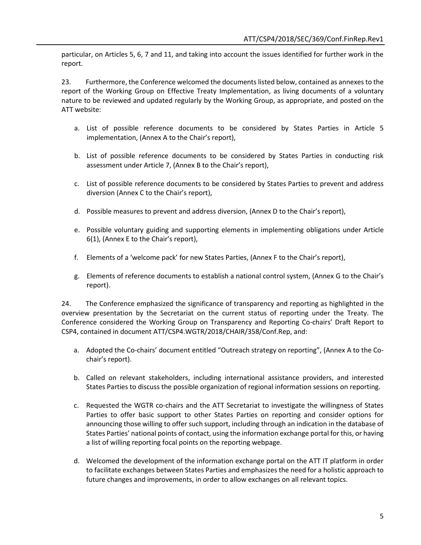particular, on Articles 5, 6, 7 and 11, and taking into account the issues identified for further work in the report.

23. Furthermore, the Conference welcomed the documents listed below, contained as annexes to the report of the Working Group on Effective Treaty Implementation, as living documents of a voluntary nature to be reviewed and updated regularly by the Working Group, as appropriate, and posted on the ATT website:

- a. List of possible reference documents to be considered by States Parties in Article 5 implementation, (Annex A to the Chair's report),
- b. List of possible reference documents to be considered by States Parties in conducting risk assessment under Article 7, (Annex B to the Chair's report),
- c. List of possible reference documents to be considered by States Parties to prevent and address diversion (Annex C to the Chair's report),
- d. Possible measures to prevent and address diversion, (Annex D to the Chair's report),
- e. Possible voluntary guiding and supporting elements in implementing obligations under Article 6(1), (Annex E to the Chair's report),
- f. Elements of a 'welcome pack' for new States Parties, (Annex F to the Chair's report),
- g. Elements of reference documents to establish a national control system, (Annex G to the Chair's report).

24. The Conference emphasized the significance of transparency and reporting as highlighted in the overview presentation by the Secretariat on the current status of reporting under the Treaty. The Conference considered the Working Group on Transparency and Reporting Co-chairs' Draft Report to CSP4, contained in document ATT/CSP4.WGTR/2018/CHAIR/358/Conf.Rep, and:

- a. Adopted the Co-chairs' document entitled "Outreach strategy on reporting", (Annex A to the Cochair's report).
- b. Called on relevant stakeholders, including international assistance providers, and interested States Parties to discuss the possible organization of regional information sessions on reporting.
- c. Requested the WGTR co-chairs and the ATT Secretariat to investigate the willingness of States Parties to offer basic support to other States Parties on reporting and consider options for announcing those willing to offer such support, including through an indication in the database of States Parties' national points of contact, using the information exchange portal for this, or having a list of willing reporting focal points on the reporting webpage.
- d. Welcomed the development of the information exchange portal on the ATT IT platform in order to facilitate exchanges between States Parties and emphasizes the need for a holistic approach to future changes and improvements, in order to allow exchanges on all relevant topics.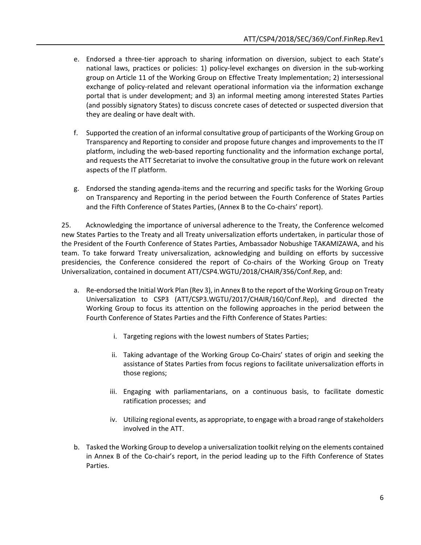- e. Endorsed a three-tier approach to sharing information on diversion, subject to each State's national laws, practices or policies: 1) policy-level exchanges on diversion in the sub-working group on Article 11 of the Working Group on Effective Treaty Implementation; 2) intersessional exchange of policy-related and relevant operational information via the information exchange portal that is under development; and 3) an informal meeting among interested States Parties (and possibly signatory States) to discuss concrete cases of detected or suspected diversion that they are dealing or have dealt with.
- f. Supported the creation of an informal consultative group of participants of the Working Group on Transparency and Reporting to consider and propose future changes and improvements to the IT platform, including the web-based reporting functionality and the information exchange portal, and requests the ATT Secretariat to involve the consultative group in the future work on relevant aspects of the IT platform.
- g. Endorsed the standing agenda-items and the recurring and specific tasks for the Working Group on Transparency and Reporting in the period between the Fourth Conference of States Parties and the Fifth Conference of States Parties, (Annex B to the Co-chairs' report).

25. Acknowledging the importance of universal adherence to the Treaty, the Conference welcomed new States Parties to the Treaty and all Treaty universalization efforts undertaken, in particular those of the President of the Fourth Conference of States Parties, Ambassador Nobushige TAKAMIZAWA, and his team. To take forward Treaty universalization, acknowledging and building on efforts by successive presidencies, the Conference considered the report of Co-chairs of the Working Group on Treaty Universalization, contained in document ATT/CSP4.WGTU/2018/CHAIR/356/Conf.Rep, and:

- a. Re-endorsed the Initial Work Plan (Rev 3), in Annex B to the report of the Working Group on Treaty Universalization to CSP3 (ATT/CSP3.WGTU/2017/CHAIR/160/Conf.Rep), and directed the Working Group to focus its attention on the following approaches in the period between the Fourth Conference of States Parties and the Fifth Conference of States Parties:
	- i. Targeting regions with the lowest numbers of States Parties;
	- ii. Taking advantage of the Working Group Co-Chairs' states of origin and seeking the assistance of States Parties from focus regions to facilitate universalization efforts in those regions;
	- iii. Engaging with parliamentarians, on a continuous basis, to facilitate domestic ratification processes; and
	- iv. Utilizing regional events, as appropriate, to engage with a broad range of stakeholders involved in the ATT.
- b. Tasked the Working Group to develop a universalization toolkit relying on the elements contained in Annex B of the Co-chair's report, in the period leading up to the Fifth Conference of States Parties.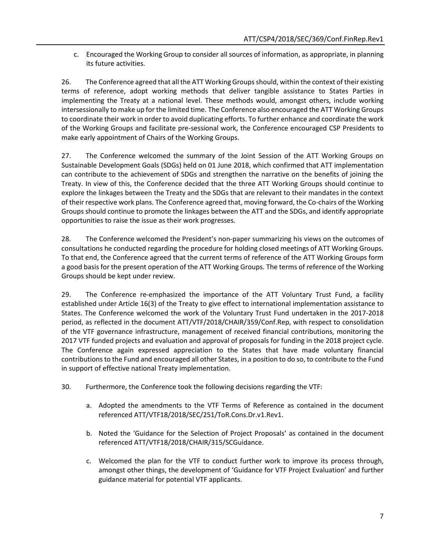c. Encouraged the Working Group to consider all sources of information, as appropriate, in planning its future activities.

26. The Conference agreed that all the ATT Working Groups should, within the context of their existing terms of reference, adopt working methods that deliver tangible assistance to States Parties in implementing the Treaty at a national level. These methods would, amongst others, include working intersessionally to make up for the limited time. The Conference also encouraged the ATT Working Groups to coordinate their work in order to avoid duplicating efforts. To further enhance and coordinate the work of the Working Groups and facilitate pre-sessional work, the Conference encouraged CSP Presidents to make early appointment of Chairs of the Working Groups.

27. The Conference welcomed the summary of the Joint Session of the ATT Working Groups on Sustainable Development Goals (SDGs) held on 01 June 2018, which confirmed that ATT implementation can contribute to the achievement of SDGs and strengthen the narrative on the benefits of joining the Treaty. In view of this, the Conference decided that the three ATT Working Groups should continue to explore the linkages between the Treaty and the SDGs that are relevant to their mandates in the context of their respective work plans. The Conference agreed that, moving forward, the Co-chairs of the Working Groups should continue to promote the linkages between the ATT and the SDGs, and identify appropriate opportunities to raise the issue as their work progresses.

28. The Conference welcomed the President's non-paper summarizing his views on the outcomes of consultations he conducted regarding the procedure for holding closed meetings of ATT Working Groups. To that end, the Conference agreed that the current terms of reference of the ATT Working Groups form a good basis for the present operation of the ATT Working Groups. The terms of reference of the Working Groups should be kept under review.

29. The Conference re-emphasized the importance of the ATT Voluntary Trust Fund, a facility established under Article 16(3) of the Treaty to give effect to international implementation assistance to States. The Conference welcomed the work of the Voluntary Trust Fund undertaken in the 2017-2018 period, as reflected in the document ATT/VTF/2018/CHAIR/359/Conf.Rep, with respect to consolidation of the VTF governance infrastructure, management of received financial contributions, monitoring the 2017 VTF funded projects and evaluation and approval of proposals for funding in the 2018 project cycle. The Conference again expressed appreciation to the States that have made voluntary financial contributions to the Fund and encouraged all other States, in a position to do so, to contribute to the Fund in support of effective national Treaty implementation.

- 30. Furthermore, the Conference took the following decisions regarding the VTF:
	- a. Adopted the amendments to the VTF Terms of Reference as contained in the document referenced ATT/VTF18/2018/SEC/251/ToR.Cons.Dr.v1.Rev1.
	- b. Noted the 'Guidance for the Selection of Project Proposals' as contained in the document referenced ATT/VTF18/2018/CHAIR/315/SCGuidance.
	- c. Welcomed the plan for the VTF to conduct further work to improve its process through, amongst other things, the development of 'Guidance for VTF Project Evaluation' and further guidance material for potential VTF applicants.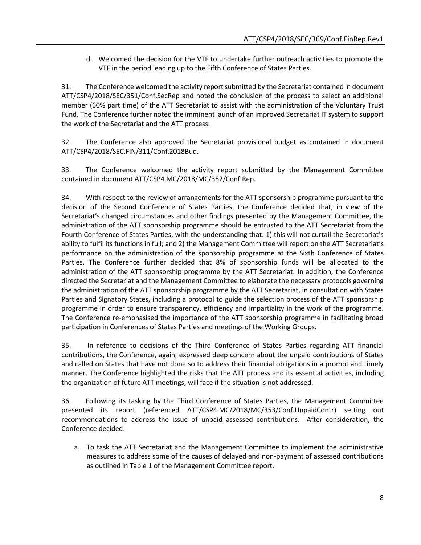d. Welcomed the decision for the VTF to undertake further outreach activities to promote the VTF in the period leading up to the Fifth Conference of States Parties.

31. The Conference welcomed the activity report submitted by the Secretariat contained in document ATT/CSP4/2018/SEC/351/Conf.SecRep and noted the conclusion of the process to select an additional member (60% part time) of the ATT Secretariat to assist with the administration of the Voluntary Trust Fund. The Conference further noted the imminent launch of an improved Secretariat IT system to support the work of the Secretariat and the ATT process.

32. The Conference also approved the Secretariat provisional budget as contained in document ATT/CSP4/2018/SEC.FIN/311/Conf.2018Bud.

33. The Conference welcomed the activity report submitted by the Management Committee contained in document ATT/CSP4.MC/2018/MC/352/Conf.Rep.

34. With respect to the review of arrangements for the ATT sponsorship programme pursuant to the decision of the Second Conference of States Parties, the Conference decided that, in view of the Secretariat's changed circumstances and other findings presented by the Management Committee, the administration of the ATT sponsorship programme should be entrusted to the ATT Secretariat from the Fourth Conference of States Parties, with the understanding that: 1) this will not curtail the Secretariat's ability to fulfil its functions in full; and 2) the Management Committee will report on the ATT Secretariat's performance on the administration of the sponsorship programme at the Sixth Conference of States Parties. The Conference further decided that 8% of sponsorship funds will be allocated to the administration of the ATT sponsorship programme by the ATT Secretariat. In addition, the Conference directed the Secretariat and the Management Committee to elaborate the necessary protocols governing the administration of the ATT sponsorship programme by the ATT Secretariat, in consultation with States Parties and Signatory States, including a protocol to guide the selection process of the ATT sponsorship programme in order to ensure transparency, efficiency and impartiality in the work of the programme. The Conference re-emphasised the importance of the ATT sponsorship programme in facilitating broad participation in Conferences of States Parties and meetings of the Working Groups.

35. In reference to decisions of the Third Conference of States Parties regarding ATT financial contributions, the Conference, again, expressed deep concern about the unpaid contributions of States and called on States that have not done so to address their financial obligations in a prompt and timely manner. The Conference highlighted the risks that the ATT process and its essential activities, including the organization of future ATT meetings, will face if the situation is not addressed.

36. Following its tasking by the Third Conference of States Parties, the Management Committee presented its report (referenced ATT/CSP4.MC/2018/MC/353/Conf.UnpaidContr) setting out recommendations to address the issue of unpaid assessed contributions. After consideration, the Conference decided:

a. To task the ATT Secretariat and the Management Committee to implement the administrative measures to address some of the causes of delayed and non-payment of assessed contributions as outlined in Table 1 of the Management Committee report.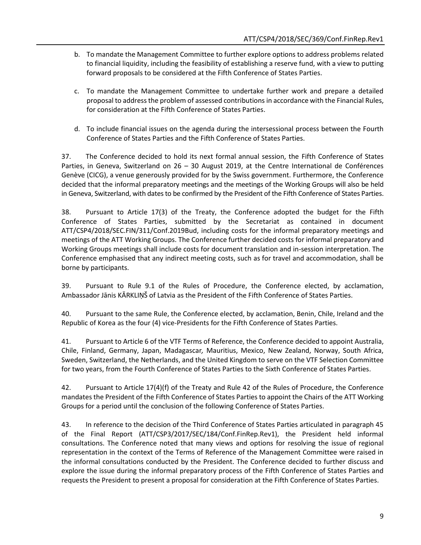- b. To mandate the Management Committee to further explore options to address problems related to financial liquidity, including the feasibility of establishing a reserve fund, with a view to putting forward proposals to be considered at the Fifth Conference of States Parties.
- c. To mandate the Management Committee to undertake further work and prepare a detailed proposal to address the problem of assessed contributions in accordance with the Financial Rules, for consideration at the Fifth Conference of States Parties.
- d. To include financial issues on the agenda during the intersessional process between the Fourth Conference of States Parties and the Fifth Conference of States Parties.

37. The Conference decided to hold its next formal annual session, the Fifth Conference of States Parties, in Geneva, Switzerland on 26 – 30 August 2019, at the Centre International de Conférences Genève (CICG), a venue generously provided for by the Swiss government. Furthermore, the Conference decided that the informal preparatory meetings and the meetings of the Working Groups will also be held in Geneva, Switzerland, with dates to be confirmed by the President of the Fifth Conference of States Parties.

38. Pursuant to Article 17(3) of the Treaty, the Conference adopted the budget for the Fifth Conference of States Parties, submitted by the Secretariat as contained in document ATT/CSP4/2018/SEC.FIN/311/Conf.2019Bud, including costs for the informal preparatory meetings and meetings of the ATT Working Groups. The Conference further decided costs for informal preparatory and Working Groups meetings shall include costs for document translation and in-session interpretation. The Conference emphasised that any indirect meeting costs, such as for travel and accommodation, shall be borne by participants.

39. Pursuant to Rule 9.1 of the Rules of Procedure, the Conference elected, by acclamation, Ambassador Jānis KĀRKLIŅŠ of Latvia as the President of the Fifth Conference of States Parties.

40. Pursuant to the same Rule, the Conference elected, by acclamation, Benin, Chile, Ireland and the Republic of Korea as the four (4) vice-Presidents for the Fifth Conference of States Parties.

41. Pursuant to Article 6 of the VTF Terms of Reference, the Conference decided to appoint Australia, Chile, Finland, Germany, Japan, Madagascar*,* Mauritius, Mexico, New Zealand, Norway, South Africa, Sweden, Switzerland, the Netherlands, and the United Kingdom to serve on the VTF Selection Committee for two years, from the Fourth Conference of States Parties to the Sixth Conference of States Parties.

42. Pursuant to Article 17(4)(f) of the Treaty and Rule 42 of the Rules of Procedure, the Conference mandates the President of the Fifth Conference of States Parties to appoint the Chairs of the ATT Working Groups for a period until the conclusion of the following Conference of States Parties.

43. In reference to the decision of the Third Conference of States Parties articulated in paragraph 45 of the Final Report (ATT/CSP3/2017/SEC/184/Conf.FinRep.Rev1), the President held informal consultations. The Conference noted that many views and options for resolving the issue of regional representation in the context of the Terms of Reference of the Management Committee were raised in the informal consultations conducted by the President. The Conference decided to further discuss and explore the issue during the informal preparatory process of the Fifth Conference of States Parties and requests the President to present a proposal for consideration at the Fifth Conference of States Parties.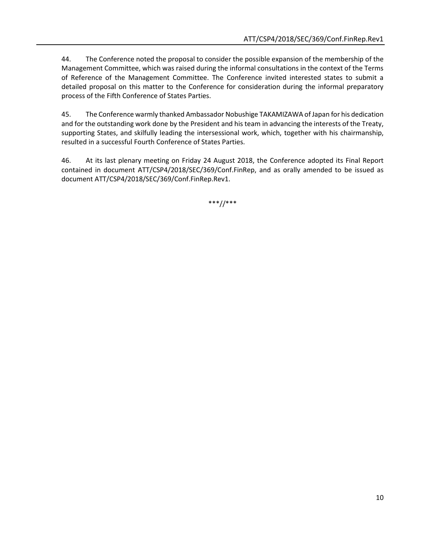44. The Conference noted the proposal to consider the possible expansion of the membership of the Management Committee, which was raised during the informal consultations in the context of the Terms of Reference of the Management Committee. The Conference invited interested states to submit a detailed proposal on this matter to the Conference for consideration during the informal preparatory process of the Fifth Conference of States Parties.

45. The Conference warmly thanked Ambassador Nobushige TAKAMIZAWA of Japan for his dedication and for the outstanding work done by the President and his team in advancing the interests of the Treaty, supporting States, and skilfully leading the intersessional work, which, together with his chairmanship, resulted in a successful Fourth Conference of States Parties.

46. At its last plenary meeting on Friday 24 August 2018, the Conference adopted its Final Report contained in document ATT/CSP4/2018/SEC/369/Conf.FinRep, and as orally amended to be issued as document ATT/CSP4/2018/SEC/369/Conf.FinRep.Rev1.

\*\*\*//\*\*\*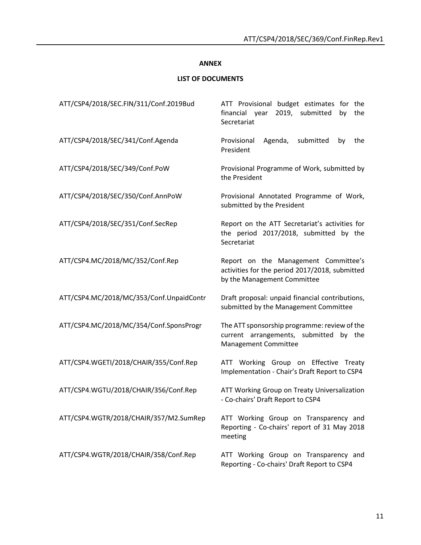## **ANNEX**

# **LIST OF DOCUMENTS**

| ATT/CSP4/2018/SEC.FIN/311/Conf.2019Bud   | ATT Provisional budget estimates for the<br>financial year 2019, submitted<br>the<br>by<br>Secretariat                |
|------------------------------------------|-----------------------------------------------------------------------------------------------------------------------|
| ATT/CSP4/2018/SEC/341/Conf.Agenda        | Provisional<br>Agenda,<br>submitted<br>the<br>by<br>President                                                         |
| ATT/CSP4/2018/SEC/349/Conf.PoW           | Provisional Programme of Work, submitted by<br>the President                                                          |
| ATT/CSP4/2018/SEC/350/Conf.AnnPoW        | Provisional Annotated Programme of Work,<br>submitted by the President                                                |
| ATT/CSP4/2018/SEC/351/Conf.SecRep        | Report on the ATT Secretariat's activities for<br>the period 2017/2018, submitted by the<br>Secretariat               |
| ATT/CSP4.MC/2018/MC/352/Conf.Rep         | Report on the Management Committee's<br>activities for the period 2017/2018, submitted<br>by the Management Committee |
| ATT/CSP4.MC/2018/MC/353/Conf.UnpaidContr | Draft proposal: unpaid financial contributions,<br>submitted by the Management Committee                              |
| ATT/CSP4.MC/2018/MC/354/Conf.SponsProgr  | The ATT sponsorship programme: review of the<br>current arrangements, submitted by the<br>Management Committee        |
| ATT/CSP4.WGETI/2018/CHAIR/355/Conf.Rep   | ATT Working Group on Effective Treaty<br>Implementation - Chair's Draft Report to CSP4                                |
| ATT/CSP4.WGTU/2018/CHAIR/356/Conf.Rep    | ATT Working Group on Treaty Universalization<br>- Co-chairs' Draft Report to CSP4                                     |
| ATT/CSP4.WGTR/2018/CHAIR/357/M2.SumRep   | ATT Working Group on Transparency and<br>Reporting - Co-chairs' report of 31 May 2018<br>meeting                      |
| ATT/CSP4.WGTR/2018/CHAIR/358/Conf.Rep    | ATT Working Group on Transparency and<br>Reporting - Co-chairs' Draft Report to CSP4                                  |